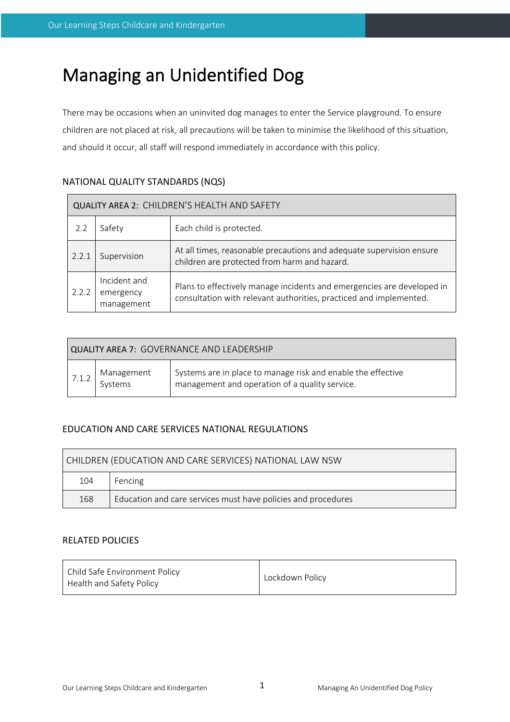# Managing an Unidentified Dog

There may be occasions when an uninvited dog manages to enter the Service playground. To ensure children are not placed at risk, all precautions will be taken to minimise the likelihood of this situation, and should it occur, all staff will respond immediately in accordance with this policy.

# NATIONAL QUALITY STANDARDS (NQS)

| QUALITY AREA 2: CHILDREN'S HEALTH AND SAFETY     |             |                                                                                                                                              |  |  |  |
|--------------------------------------------------|-------------|----------------------------------------------------------------------------------------------------------------------------------------------|--|--|--|
| 2.2                                              | Safety      | Each child is protected.                                                                                                                     |  |  |  |
| 2.2.1                                            | Supervision | At all times, reasonable precautions and adequate supervision ensure<br>children are protected from harm and hazard.                         |  |  |  |
| Incident and<br>2.2.2<br>emergency<br>management |             | Plans to effectively manage incidents and emergencies are developed in<br>consultation with relevant authorities, practiced and implemented. |  |  |  |

| <b>QUALITY AREA 7: GOVERNANCE AND LEADERSHIP</b> |                       |                                                                                                                |  |  |  |  |
|--------------------------------------------------|-----------------------|----------------------------------------------------------------------------------------------------------------|--|--|--|--|
| 7.1.2                                            | Management<br>Systems | Systems are in place to manage risk and enable the effective<br>management and operation of a quality service. |  |  |  |  |

# EDUCATION AND CARE SERVICES NATIONAL REGULATIONS

| CHILDREN (EDUCATION AND CARE SERVICES) NATIONAL LAW NSW |                                                               |  |  |  |
|---------------------------------------------------------|---------------------------------------------------------------|--|--|--|
| 104                                                     | Fencing                                                       |  |  |  |
| 168                                                     | Education and care services must have policies and procedures |  |  |  |

# RELATED POLICIES

| Child Safe Environment Policy<br>Health and Safety Policy | Lockdown Policy |
|-----------------------------------------------------------|-----------------|
|-----------------------------------------------------------|-----------------|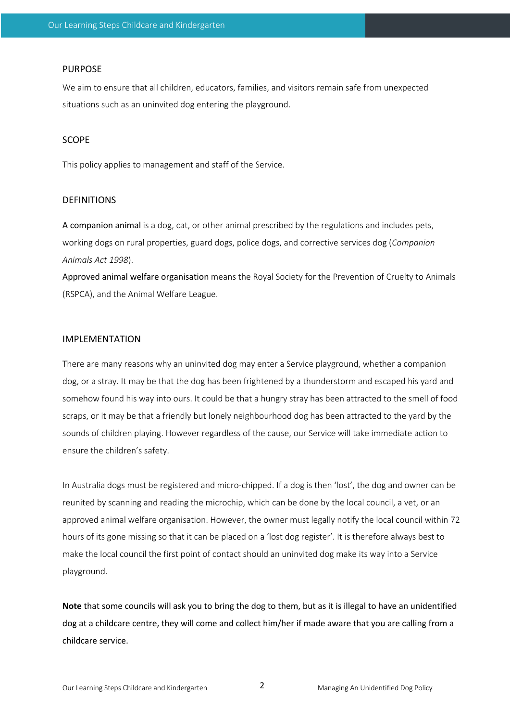#### PURPOSE

We aim to ensure that all children, educators, families, and visitors remain safe from unexpected situations such as an uninvited dog entering the playground.

### SCOPE

This policy applies to management and staff of the Service.

#### DEFINITIONS

A companion animal is a dog, cat, or other animal prescribed by the regulations and includes pets, working dogs on rural properties, guard dogs, police dogs, and corrective services dog (*Companion Animals Act 1998*).

Approved animal welfare organisation means the Royal Society for the Prevention of Cruelty to Animals (RSPCA), and the Animal Welfare League.

#### IMPLEMENTATION

There are many reasons why an uninvited dog may enter a Service playground, whether a companion dog, or a stray. It may be that the dog has been frightened by a thunderstorm and escaped his yard and somehow found his way into ours. It could be that a hungry stray has been attracted to the smell of food scraps, or it may be that a friendly but lonely neighbourhood dog has been attracted to the yard by the sounds of children playing. However regardless of the cause, our Service will take immediate action to ensure the children's safety.

In Australia dogs must be registered and micro-chipped. If a dog is then 'lost', the dog and owner can be reunited by scanning and reading the microchip, which can be done by the local council, a vet, or an approved animal welfare organisation. However, the owner must legally notify the local council within 72 hours of its gone missing so that it can be placed on a 'lost dog register'. It is therefore always best to make the local council the first point of contact should an uninvited dog make its way into a Service playground.

**Note** that some councils will ask you to bring the dog to them, but as it is illegal to have an unidentified dog at a childcare centre, they will come and collect him/her if made aware that you are calling from a childcare service.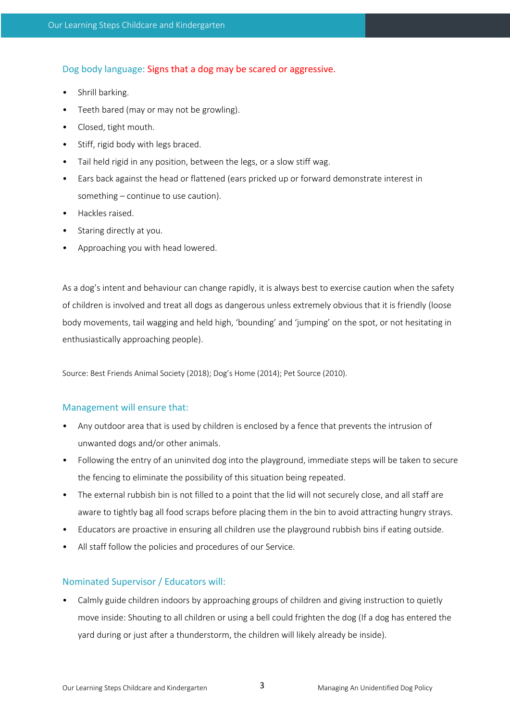Dog body language: Signs that a dog may be scared or aggressive.

- Shrill barking.
- Teeth bared (may or may not be growling).
- Closed, tight mouth.
- Stiff, rigid body with legs braced.
- Tail held rigid in any position, between the legs, or a slow stiff wag.
- Ears back against the head or flattened (ears pricked up or forward demonstrate interest in something – continue to use caution).
- Hackles raised.
- Staring directly at you.
- Approaching you with head lowered.

As a dog's intent and behaviour can change rapidly, it is always best to exercise caution when the safety of children is involved and treat all dogs as dangerous unless extremely obvious that it is friendly (loose body movements, tail wagging and held high, 'bounding' and 'jumping' on the spot, or not hesitating in enthusiastically approaching people).

Source: Best Friends Animal Society (2018); Dog's Home (2014); Pet Source (2010).

#### Management will ensure that:

- Any outdoor area that is used by children is enclosed by a fence that prevents the intrusion of unwanted dogs and/or other animals.
- Following the entry of an uninvited dog into the playground, immediate steps will be taken to secure the fencing to eliminate the possibility of this situation being repeated.
- The external rubbish bin is not filled to a point that the lid will not securely close, and all staff are aware to tightly bag all food scraps before placing them in the bin to avoid attracting hungry strays.
- Educators are proactive in ensuring all children use the playground rubbish bins if eating outside.
- All staff follow the policies and procedures of our Service.

#### Nominated Supervisor / Educators will:

• Calmly guide children indoors by approaching groups of children and giving instruction to quietly move inside: Shouting to all children or using a bell could frighten the dog (If a dog has entered the yard during or just after a thunderstorm, the children will likely already be inside).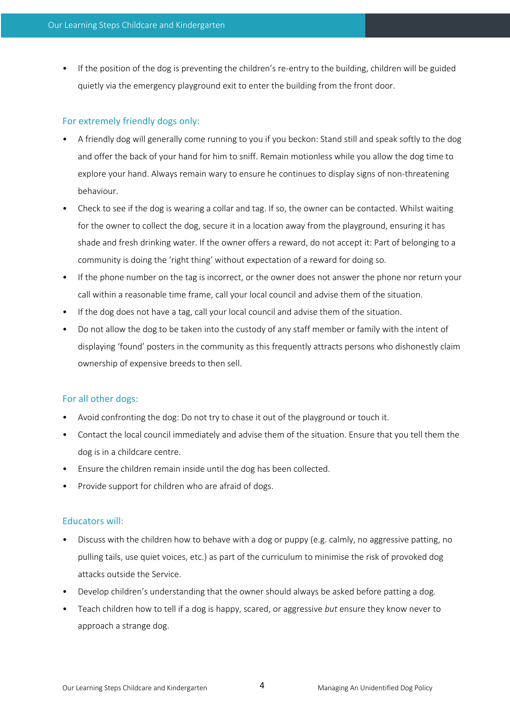• If the position of the dog is preventing the children's re-entry to the building, children will be guided quietly via the emergency playground exit to enter the building from the front door.

## For extremely friendly dogs only:

- A friendly dog will generally come running to you if you beckon: Stand still and speak softly to the dog and offer the back of your hand for him to sniff. Remain motionless while you allow the dog time to explore your hand. Always remain wary to ensure he continues to display signs of non-threatening behaviour.
- Check to see if the dog is wearing a collar and tag. If so, the owner can be contacted. Whilst waiting for the owner to collect the dog, secure it in a location away from the playground, ensuring it has shade and fresh drinking water. If the owner offers a reward, do not accept it: Part of belonging to a community is doing the 'right thing' without expectation of a reward for doing so.
- If the phone number on the tag is incorrect, or the owner does not answer the phone nor return your call within a reasonable time frame, call your local council and advise them of the situation.
- If the dog does not have a tag, call your local council and advise them of the situation.
- Do not allow the dog to be taken into the custody of any staff member or family with the intent of displaying 'found' posters in the community as this frequently attracts persons who dishonestly claim ownership of expensive breeds to then sell.

# For all other dogs:

- Avoid confronting the dog: Do not try to chase it out of the playground or touch it.
- Contact the local council immediately and advise them of the situation. Ensure that you tell them the dog is in a childcare centre.
- Ensure the children remain inside until the dog has been collected.
- Provide support for children who are afraid of dogs.

#### Educators will:

- Discuss with the children how to behave with a dog or puppy (e.g. calmly, no aggressive patting, no pulling tails, use quiet voices, etc.) as part of the curriculum to minimise the risk of provoked dog attacks outside the Service.
- Develop children's understanding that the owner should always be asked before patting a dog.
- Teach children how to tell if a dog is happy, scared, or aggressive *but* ensure they know never to approach a strange dog.